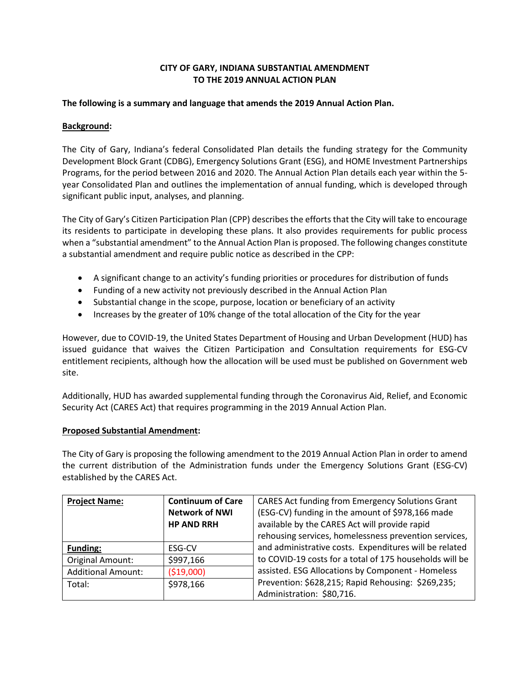### **CITY OF GARY, INDIANA SUBSTANTIAL AMENDMENT TO THE 2019 ANNUAL ACTION PLAN**

#### **The following is a summary and language that amends the 2019 Annual Action Plan.**

### **Background:**

The City of Gary, Indiana's federal Consolidated Plan details the funding strategy for the Community Development Block Grant (CDBG), Emergency Solutions Grant (ESG), and HOME Investment Partnerships Programs, for the period between 2016 and 2020. The Annual Action Plan details each year within the 5 year Consolidated Plan and outlines the implementation of annual funding, which is developed through significant public input, analyses, and planning.

The City of Gary's Citizen Participation Plan (CPP) describes the efforts that the City will take to encourage its residents to participate in developing these plans. It also provides requirements for public process when a "substantial amendment" to the Annual Action Plan is proposed. The following changes constitute a substantial amendment and require public notice as described in the CPP:

- A significant change to an activity's funding priorities or procedures for distribution of funds
- Funding of a new activity not previously described in the Annual Action Plan
- Substantial change in the scope, purpose, location or beneficiary of an activity
- Increases by the greater of 10% change of the total allocation of the City for the year

However, due to COVID-19, the United States Department of Housing and Urban Development (HUD) has issued guidance that waives the Citizen Participation and Consultation requirements for ESG-CV entitlement recipients, although how the allocation will be used must be published on Government web site.

Additionally, HUD has awarded supplemental funding through the Coronavirus Aid, Relief, and Economic Security Act (CARES Act) that requires programming in the 2019 Annual Action Plan.

### **Proposed Substantial Amendment:**

The City of Gary is proposing the following amendment to the 2019 Annual Action Plan in order to amend the current distribution of the Administration funds under the Emergency Solutions Grant (ESG-CV) established by the CARES Act.

| <b>Project Name:</b>      | <b>Continuum of Care</b> | <b>CARES Act funding from Emergency Solutions Grant</b>                         |
|---------------------------|--------------------------|---------------------------------------------------------------------------------|
|                           | <b>Network of NWI</b>    | (ESG-CV) funding in the amount of \$978,166 made                                |
|                           | <b>HP AND RRH</b>        | available by the CARES Act will provide rapid                                   |
|                           |                          | rehousing services, homelessness prevention services,                           |
| <b>Funding:</b>           | ESG-CV                   | and administrative costs. Expenditures will be related                          |
| Original Amount:          | \$997,166                | to COVID-19 costs for a total of 175 households will be                         |
| <b>Additional Amount:</b> | ( \$19,000)              | assisted. ESG Allocations by Component - Homeless                               |
| Total:                    | \$978,166                | Prevention: \$628,215; Rapid Rehousing: \$269,235;<br>Administration: \$80,716. |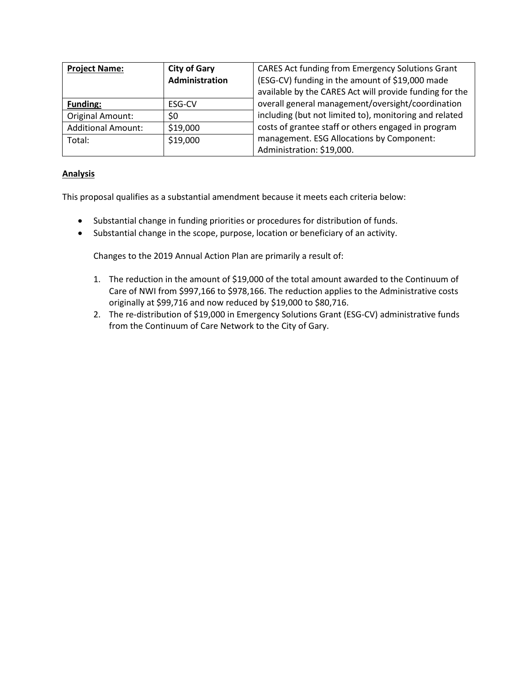| <b>Project Name:</b>      | <b>City of Gary</b> | CARES Act funding from Emergency Solutions Grant        |
|---------------------------|---------------------|---------------------------------------------------------|
|                           | Administration      | (ESG-CV) funding in the amount of \$19,000 made         |
|                           |                     | available by the CARES Act will provide funding for the |
| <b>Funding:</b>           | ESG-CV              | overall general management/oversight/coordination       |
| <b>Original Amount:</b>   | \$0                 | including (but not limited to), monitoring and related  |
| <b>Additional Amount:</b> | \$19,000            | costs of grantee staff or others engaged in program     |
| Total:                    | \$19,000            | management. ESG Allocations by Component:               |
|                           |                     | Administration: \$19,000.                               |

# **Analysis**

This proposal qualifies as a substantial amendment because it meets each criteria below:

- Substantial change in funding priorities or procedures for distribution of funds.
- Substantial change in the scope, purpose, location or beneficiary of an activity.

Changes to the 2019 Annual Action Plan are primarily a result of:

- 1. The reduction in the amount of \$19,000 of the total amount awarded to the Continuum of Care of NWI from \$997,166 to \$978,166. The reduction applies to the Administrative costs originally at \$99,716 and now reduced by \$19,000 to \$80,716.
- 2. The re-distribution of \$19,000 in Emergency Solutions Grant (ESG-CV) administrative funds from the Continuum of Care Network to the City of Gary.